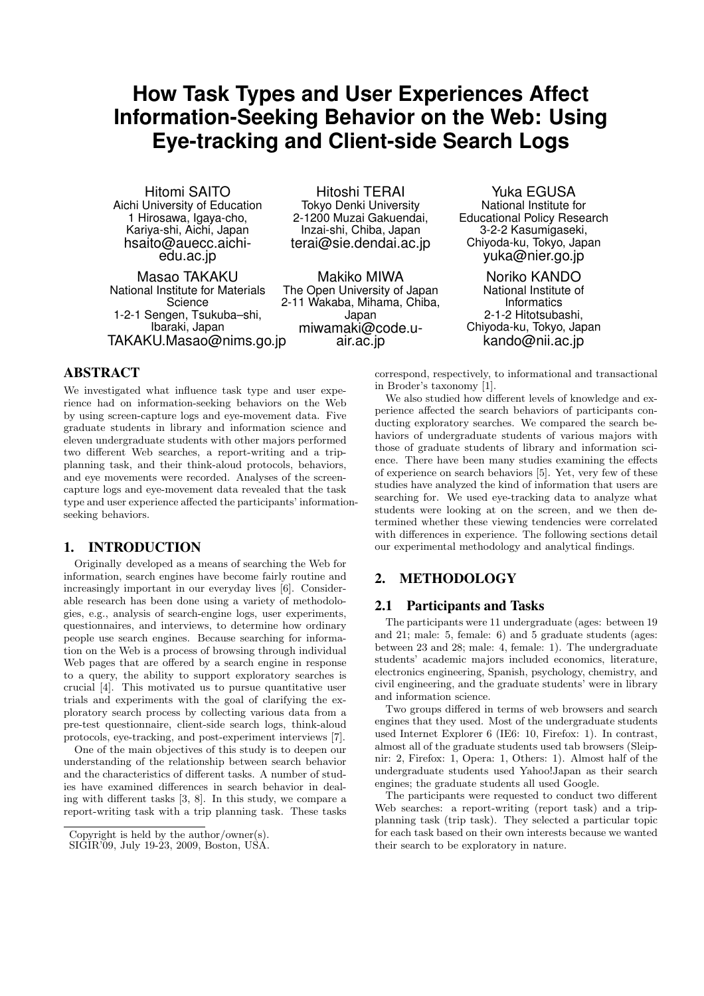# **How Task Types and User Experiences Affect Information-Seeking Behavior on the Web: Using Eye-tracking and Client-side Search Logs**

Hitomi SAITO Aichi University of Education 1 Hirosawa, Igaya-cho, Kariya-shi, Aichi, Japan hsaito@auecc.aichiedu.ac.jp

Masao TAKAKU National Institute for Materials Science 1-2-1 Sengen, Tsukuba–shi, Ibaraki, Japan TAKAKU.Masao@nims.go.jp

Hitoshi TERAI Tokyo Denki University 2-1200 Muzai Gakuendai, Inzai-shi, Chiba, Japan terai@sie.dendai.ac.jp

Makiko MIWA The Open University of Japan 2-11 Wakaba, Mihama, Chiba, Japan miwamaki@code.uair.ac.jp

## ABSTRACT

We investigated what influence task type and user experience had on information-seeking behaviors on the Web by using screen-capture logs and eye-movement data. Five graduate students in library and information science and eleven undergraduate students with other majors performed two different Web searches, a report-writing and a tripplanning task, and their think-aloud protocols, behaviors, and eye movements were recorded. Analyses of the screencapture logs and eye-movement data revealed that the task type and user experience affected the participants' informationseeking behaviors.

## 1. INTRODUCTION

Originally developed as a means of searching the Web for information, search engines have become fairly routine and increasingly important in our everyday lives [6]. Considerable research has been done using a variety of methodologies, e.g., analysis of search-engine logs, user experiments, questionnaires, and interviews, to determine how ordinary people use search engines. Because searching for information on the Web is a process of browsing through individual Web pages that are offered by a search engine in response to a query, the ability to support exploratory searches is crucial [4]. This motivated us to pursue quantitative user trials and experiments with the goal of clarifying the exploratory search process by collecting various data from a pre-test questionnaire, client-side search logs, think-aloud protocols, eye-tracking, and post-experiment interviews [7].

One of the main objectives of this study is to deepen our understanding of the relationship between search behavior and the characteristics of different tasks. A number of studies have examined differences in search behavior in dealing with different tasks [3, 8]. In this study, we compare a report-writing task with a trip planning task. These tasks

Yuka EGUSA National Institute for Educational Policy Research 3-2-2 Kasumigaseki, Chiyoda-ku, Tokyo, Japan yuka@nier.go.jp

Noriko KANDO National Institute of **Informatics** 2-1-2 Hitotsubashi, Chiyoda-ku, Tokyo, Japan kando@nii.ac.jp

correspond, respectively, to informational and transactional in Broder's taxonomy [1].

We also studied how different levels of knowledge and experience affected the search behaviors of participants conducting exploratory searches. We compared the search behaviors of undergraduate students of various majors with those of graduate students of library and information science. There have been many studies examining the effects of experience on search behaviors [5]. Yet, very few of these studies have analyzed the kind of information that users are searching for. We used eye-tracking data to analyze what students were looking at on the screen, and we then determined whether these viewing tendencies were correlated with differences in experience. The following sections detail our experimental methodology and analytical findings.

## 2. METHODOLOGY

#### 2.1 Participants and Tasks

The participants were 11 undergraduate (ages: between 19 and 21; male: 5, female: 6) and 5 graduate students (ages: between 23 and 28; male: 4, female: 1). The undergraduate students' academic majors included economics, literature, electronics engineering, Spanish, psychology, chemistry, and civil engineering, and the graduate students' were in library and information science.

Two groups differed in terms of web browsers and search engines that they used. Most of the undergraduate students used Internet Explorer 6 (IE6: 10, Firefox: 1). In contrast, almost all of the graduate students used tab browsers (Sleipnir: 2, Firefox: 1, Opera: 1, Others: 1). Almost half of the undergraduate students used Yahoo!Japan as their search engines; the graduate students all used Google.

The participants were requested to conduct two different Web searches: a report-writing (report task) and a tripplanning task (trip task). They selected a particular topic for each task based on their own interests because we wanted their search to be exploratory in nature.

Copyright is held by the author/owner(s).

SIGIR'09, July 19-23, 2009, Boston, USA.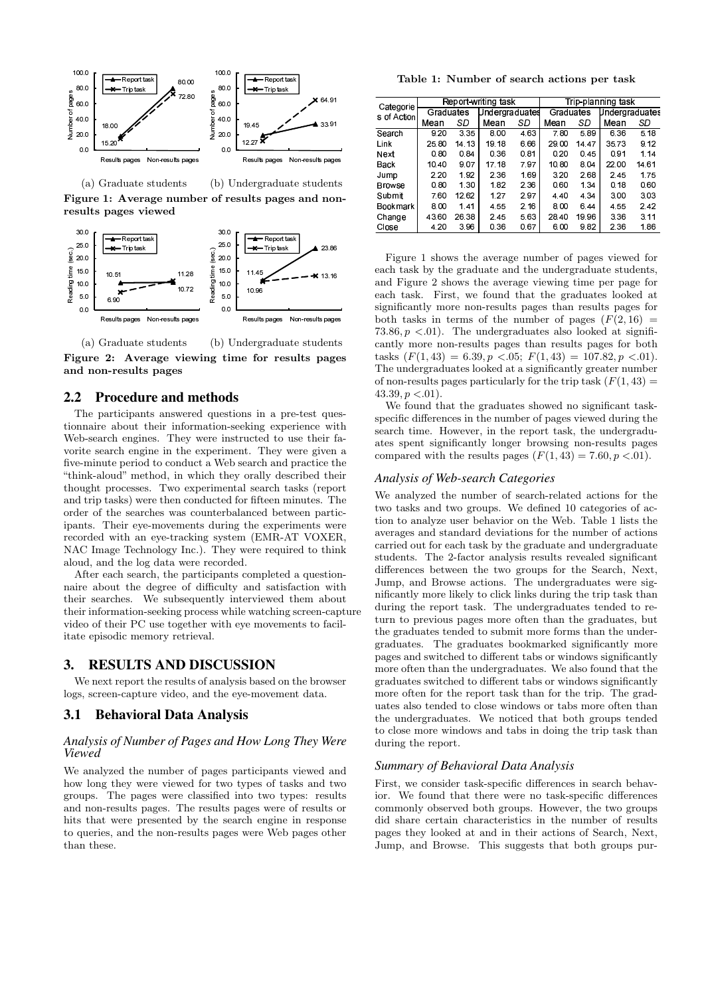

(a) Graduate students (b) Undergraduate students Figure 1: Average number of results pages and nonresults pages viewed



(a) Graduate students (b) Undergraduate students Figure 2: Average viewing time for results pages and non-results pages

## 2.2 Procedure and methods

The participants answered questions in a pre-test questionnaire about their information-seeking experience with Web-search engines. They were instructed to use their favorite search engine in the experiment. They were given a five-minute period to conduct a Web search and practice the "think-aloud" method, in which they orally described their thought processes. Two experimental search tasks (report and trip tasks) were then conducted for fifteen minutes. The order of the searches was counterbalanced between participants. Their eye-movements during the experiments were recorded with an eye-tracking system (EMR-AT VOXER, NAC Image Technology Inc.). They were required to think aloud, and the log data were recorded.

After each search, the participants completed a questionnaire about the degree of difficulty and satisfaction with their searches. We subsequently interviewed them about their information-seeking process while watching screen-capture video of their PC use together with eye movements to facilitate episodic memory retrieval.

## 3. RESULTS AND DISCUSSION

We next report the results of analysis based on the browser logs, screen-capture video, and the eye-movement data.

#### 3.1 Behavioral Data Analysis

#### *Analysis of Number of Pages and How Long They Were Viewed*

We analyzed the number of pages participants viewed and how long they were viewed for two types of tasks and two groups. The pages were classified into two types: results and non-results pages. The results pages were of results or hits that were presented by the search engine in response to queries, and the non-results pages were Web pages other than these.

Table 1: Number of search actions per task

| Categorie<br>s of Action | Report-writing task |       |                |      | Trip-planning task |       |                |       |
|--------------------------|---------------------|-------|----------------|------|--------------------|-------|----------------|-------|
|                          | Graduates           |       | Undergraduates |      | Graduates          |       | Undergraduates |       |
|                          | Mean                | SD    | Mean           | SD   | Mean               | SD    | Mean           | SD    |
| Search                   | 9.20                | 3.35  | 8.00           | 463  | 7.80               | 5.89  | 6.36           | 5.18  |
| Link                     | 25.80               | 14.13 | 19.18          | 6.66 | 29.00              | 14.47 | 35.73          | 9.12  |
| Next                     | 0.80                | 0.84  | 0.36           | 0.81 | 0.20               | 0.45  | 0.91           | 1.14  |
| Back                     | 10.40               | 907   | 17.18          | 7.97 | 1080               | 8 0 4 | 22.00          | 14 61 |
| Jump                     | 2.20                | 1.92  | 2.36           | 1.69 | 3.20               | 268   | 2.45           | 1.75  |
| <b>Browse</b>            | 0.80                | 1.30  | 1.82           | 2.36 | 0.60               | 1.34  | 0.18           | 0.60  |
| Submit                   | 7.60                | 12.62 | 1.27           | 2.97 | 4.40               | 4 3 4 | 3.00           | 3.03  |
| Bookmark I               | 8.00                | 1.41  | 455            | 2.16 | 8.00               | 6.44  | 4.55           | 2.42  |
| Change                   | 43.60               | 26.38 | 2.45           | 5.63 | 28.40              | 19 96 | 336            | 3.11  |
| Close                    | 4.20                | 3 9 6 | 0.36           | 0.67 | 600                | 9.82  | 2 3 6          | 1.86  |

Figure 1 shows the average number of pages viewed for each task by the graduate and the undergraduate students, and Figure 2 shows the average viewing time per page for each task. First, we found that the graduates looked at significantly more non-results pages than results pages for both tasks in terms of the number of pages  $(F(2, 16))$ 73.86,  $p < 0.01$ . The undergraduates also looked at significantly more non-results pages than results pages for both tasks  $(F(1, 43) = 6.39, p < .05; F(1, 43) = 107.82, p < .01)$ . The undergraduates looked at a significantly greater number of non-results pages particularly for the trip task  $(F(1, 43)) =$  $43.39, p < .01$ ).

We found that the graduates showed no significant taskspecific differences in the number of pages viewed during the search time. However, in the report task, the undergraduates spent significantly longer browsing non-results pages compared with the results pages  $(F(1, 43) = 7.60, p < .01)$ .

#### *Analysis of Web-search Categories*

We analyzed the number of search-related actions for the two tasks and two groups. We defined 10 categories of action to analyze user behavior on the Web. Table 1 lists the averages and standard deviations for the number of actions carried out for each task by the graduate and undergraduate students. The 2-factor analysis results revealed significant differences between the two groups for the Search, Next, Jump, and Browse actions. The undergraduates were significantly more likely to click links during the trip task than during the report task. The undergraduates tended to return to previous pages more often than the graduates, but the graduates tended to submit more forms than the undergraduates. The graduates bookmarked significantly more pages and switched to different tabs or windows significantly more often than the undergraduates. We also found that the graduates switched to different tabs or windows significantly more often for the report task than for the trip. The graduates also tended to close windows or tabs more often than the undergraduates. We noticed that both groups tended to close more windows and tabs in doing the trip task than during the report.

#### *Summary of Behavioral Data Analysis*

First, we consider task-specific differences in search behavior. We found that there were no task-specific differences commonly observed both groups. However, the two groups did share certain characteristics in the number of results pages they looked at and in their actions of Search, Next, Jump, and Browse. This suggests that both groups pur-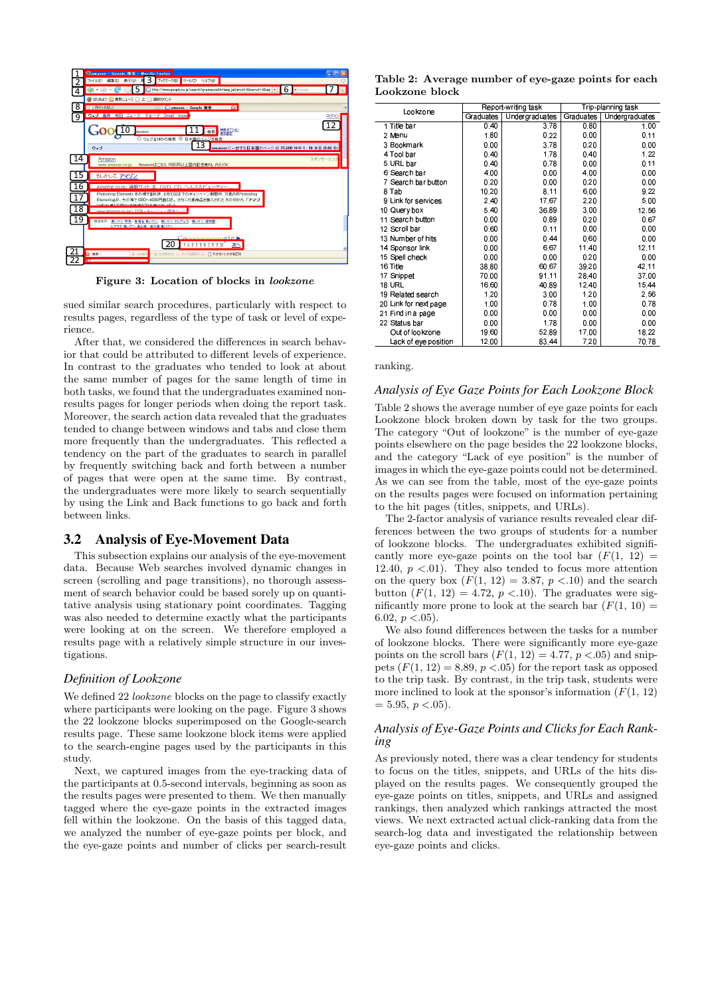

Figure 3: Location of blocks in lookzone

sued similar search procedures, particularly with respect to results pages, regardless of the type of task or level of experience.

After that, we considered the differences in search behavior that could be attributed to different levels of experience. In contrast to the graduates who tended to look at about the same number of pages for the same length of time in both tasks, we found that the undergraduates examined nonresults pages for longer periods when doing the report task. Moreover, the search action data revealed that the graduates tended to change between windows and tabs and close them more frequently than the undergraduates. This reflected a tendency on the part of the graduates to search in parallel by frequently switching back and forth between a number of pages that were open at the same time. By contrast, the undergraduates were more likely to search sequentially by using the Link and Back functions to go back and forth between links.

#### 3.2 Analysis of Eye-Movement Data

This subsection explains our analysis of the eye-movement data. Because Web searches involved dynamic changes in screen (scrolling and page transitions), no thorough assessment of search behavior could be based sorely up on quantitative analysis using stationary point coordinates. Tagging was also needed to determine exactly what the participants were looking at on the screen. We therefore employed a results page with a relatively simple structure in our investigations.

## *Definition of Lookzone*

We defined 22 *lookzone* blocks on the page to classify exactly where participants were looking on the page. Figure 3 shows the 22 lookzone blocks superimposed on the Google-search results page. These same lookzone block items were applied to the search-engine pages used by the participants in this study.

Next, we captured images from the eye-tracking data of the participants at 0.5-second intervals, beginning as soon as the results pages were presented to them. We then manually tagged where the eye-gaze points in the extracted images fell within the lookzone. On the basis of this tagged data, we analyzed the number of eye-gaze points per block, and the eye-gaze points and number of clicks per search-result

Table 2: Average number of eye-gaze points for each Lookzone block

| Lookzone              |           | Report writing task | Trip-planning task |                |  |
|-----------------------|-----------|---------------------|--------------------|----------------|--|
|                       | Graduates | Undergraduates      | Graduates          | Undergraduates |  |
| 1 Title bar           | 0.40      | 3.78                | 0.80               | 1.00           |  |
| 2 Menu                | 1.80      | 0.22                | 0.00               | 0.11           |  |
| 3 Bookmark            | 0.00      | 3.78                | 0.20               | 0.00           |  |
| 4 Tool bar            | 0.40      | 1.78                | 0.40               | 1,22           |  |
| 5 URL bar             | 0.40      | 0.78                | 0.00               | 0.11           |  |
| 6 Search bar          | 4.00      | 0.00                | 4.00               | 0.00           |  |
| 7 Search bar button   | 0.20      | 0.00                | 0.20               | 0.00           |  |
| 8 Tab                 | 10.20     | 8.11                | 6.00               | 9.22           |  |
| 9 Link for services   | 2.40      | 17.67               | 2.20               | 5.00           |  |
| 10 Query box          | 5.40      | 36.89               | 3.00               | 12.56          |  |
| 11 Search button      | 0.00      | 0.89                | 0.20               | 0.67           |  |
| 12 Scroll bar         | 0.60      | 0.11                | 0.00               | 0.00           |  |
| 13 Number of hits     | 0.00      | 0.44                | 0.60               | 0.00           |  |
| 14 Sponsor link       | 0.00      | 6.67                | 11.40              | 12.11          |  |
| 15 Spell check        | 0.00      | 0.00                | 0.20               | 0.00           |  |
| 16 Title              | 38.80     | 60.67               | 39.20              | 42.11          |  |
| 17 Snippet            | 70.00     | 91.11               | 28.40              | 37.00          |  |
| <b>18 URL</b>         | 16.60     | 40.89               | 1240               | 15.44          |  |
| 19 Related search     | 1.20      | 3.00                | 1.20               | 2.56           |  |
| 20 Link for next page | 1.00      | 0.78                | 1.00               | 0.78           |  |
| 21 Find in a page     | 0.00      | 0.00                | 0.00               | 0.00           |  |
| 22 Status bar         | 0.00      | 1.78                | 0.00               | 0.00           |  |
| Out of lookzone       | 19.60     | 52.89               | 17.00              | 18.22          |  |
| Lack of eye position  | 12.00     | 83.44               | 7.20               | 70.78          |  |

#### ranking.

#### *Analysis of Eye Gaze Points for Each Lookzone Block*

Table 2 shows the average number of eye gaze points for each Lookzone block broken down by task for the two groups. The category "Out of lookzone" is the number of eye-gaze points elsewhere on the page besides the 22 lookzone blocks, and the category "Lack of eye position" is the number of images in which the eye-gaze points could not be determined. As we can see from the table, most of the eye-gaze points on the results pages were focused on information pertaining to the hit pages (titles, snippets, and URLs).

The 2-factor analysis of variance results revealed clear differences between the two groups of students for a number of lookzone blocks. The undergraduates exhibited significantly more eye-gaze points on the tool bar  $(F(1, 12))$ 12.40,  $p \leq 01$ . They also tended to focus more attention on the query box  $(F(1, 12) = 3.87, p < .10)$  and the search button  $(F(1, 12) = 4.72, p < .10)$ . The graduates were significantly more prone to look at the search bar  $(F(1, 10)) =$ 6.02,  $p < .05$ ).

We also found differences between the tasks for a number of lookzone blocks. There were significantly more eye-gaze points on the scroll bars  $(F(1, 12) = 4.77, p < .05)$  and snippets  $(F(1, 12) = 8.89, p < .05)$  for the report task as opposed to the trip task. By contrast, in the trip task, students were more inclined to look at the sponsor's information  $(F(1, 12))$  $= 5.95, p < .05$ .

## *Analysis of Eye-Gaze Points and Clicks for Each Ranking*

As previously noted, there was a clear tendency for students to focus on the titles, snippets, and URLs of the hits displayed on the results pages. We consequently grouped the eye-gaze points on titles, snippets, and URLs and assigned rankings, then analyzed which rankings attracted the most views. We next extracted actual click-ranking data from the search-log data and investigated the relationship between eye-gaze points and clicks.